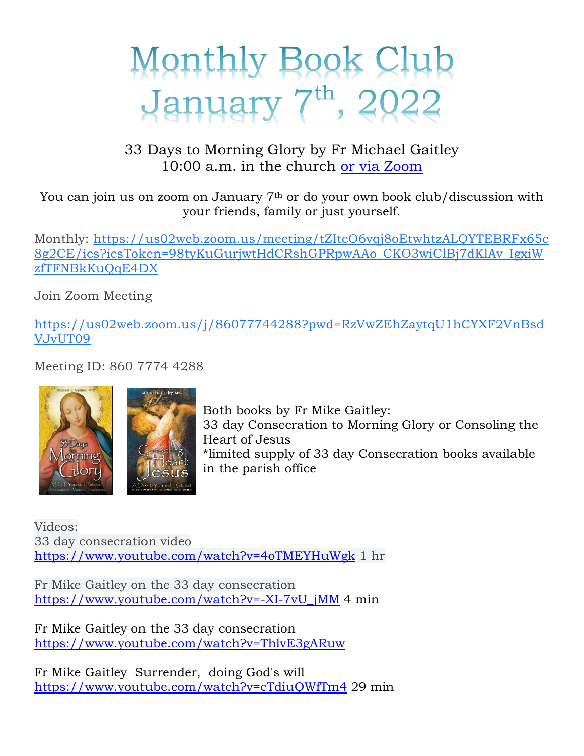## Monthly Book Club January 7th, 2022

33 Days to Morning Glory by Fr Michael Gaitley 10:00 a.m. in the church or via Zoom

You can join us on zoom on January 7th or do your own book club/discussion with your friends, family or just yourself.

Monthly: https://us02web.zoom.us/meeting/tZItcO6vqj8oEtwhtzALQYTEBRFx65c 8g2CE/ics?icsToken=98tyKuGurjwtHdCRshGPRpwAAo\_CKO3wiClBj7dKlAv\_IgxiW zfTFNBkKuQqE4DX

Join Zoom Meeting

https://us02web.zoom.us/j/86077744288?pwd=RzVwZEhZaytqU1hCYXF2VnBsd VJvUT09

Meeting ID: 860 7774 4288





Both books by Fr Mike Gaitley: 33 day Consecration to Morning Glory or Consoling the Heart of Jesus \*limited supply of 33 day Consecration books available in the parish office

Videos: 33 day consecration video https://www.youtube.com/watch?v=4oTMEYHuWgk 1 hr

Fr Mike Gaitley on the 33 day consecration https://www.youtube.com/watch?v=-XI-7vU\_jMM 4 min

Fr Mike Gaitley on the 33 day consecration https://www.youtube.com/watch?v=ThlvE3gARuw

Fr Mike Gaitley Surrender, doing God's will https://www.youtube.com/watch?v=cTdiuQWfTm4 29 min